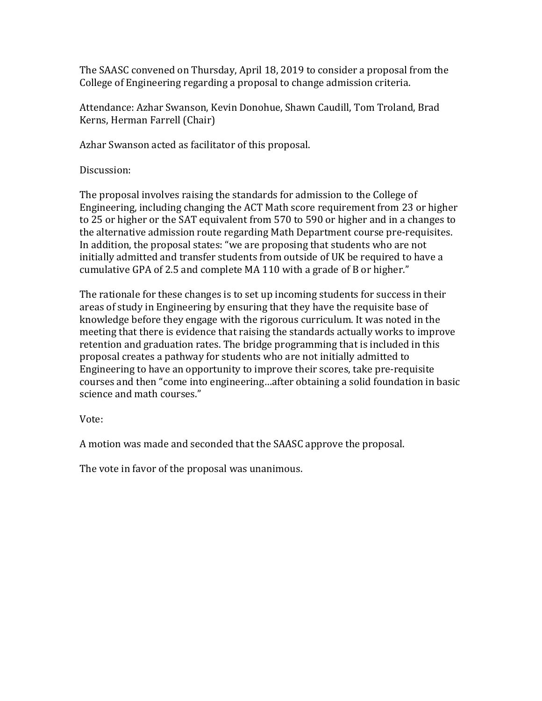The SAASC convened on Thursday, April 18, 2019 to consider a proposal from the College of Engineering regarding a proposal to change admission criteria.

Attendance: Azhar Swanson, Kevin Donohue, Shawn Caudill, Tom Troland, Brad Kerns, Herman Farrell (Chair)

Azhar Swanson acted as facilitator of this proposal.

Discussion:

The proposal involves raising the standards for admission to the College of Engineering, including changing the ACT Math score requirement from 23 or higher to 25 or higher or the SAT equivalent from 570 to 590 or higher and in a changes to the alternative admission route regarding Math Department course pre-requisites. In addition, the proposal states: "we are proposing that students who are not initially admitted and transfer students from outside of UK be required to have a cumulative GPA of 2.5 and complete MA 110 with a grade of B or higher."

The rationale for these changes is to set up incoming students for success in their areas of study in Engineering by ensuring that they have the requisite base of knowledge before they engage with the rigorous curriculum. It was noted in the meeting that there is evidence that raising the standards actually works to improve retention and graduation rates. The bridge programming that is included in this proposal creates a pathway for students who are not initially admitted to Engineering to have an opportunity to improve their scores, take pre-requisite courses and then "come into engineering…after obtaining a solid foundation in basic science and math courses."

Vote:

A motion was made and seconded that the SAASC approve the proposal.

The vote in favor of the proposal was unanimous.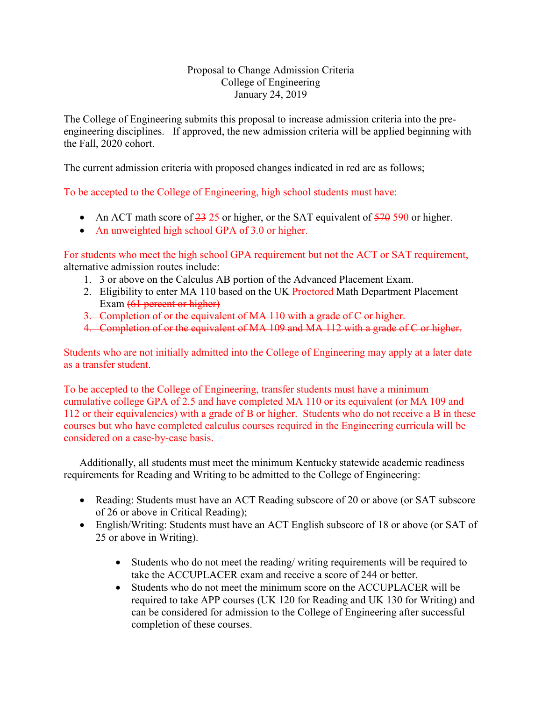# Proposal to Change Admission Criteria College of Engineering January 24, 2019

The College of Engineering submits this proposal to increase admission criteria into the preengineering disciplines. If approved, the new admission criteria will be applied beginning with the Fall, 2020 cohort.

The current admission criteria with proposed changes indicated in red are as follows;

To be accepted to the College of Engineering, high school students must have:

- An ACT math score of  $\frac{23}{25}$  or higher, or the SAT equivalent of  $\frac{570}{570}$  590 or higher.
- An unweighted high school GPA of 3.0 or higher.

For students who meet the high school GPA requirement but not the ACT or SAT requirement, alternative admission routes include:

- 1. 3 or above on the Calculus AB portion of the Advanced Placement Exam.
- 2. Eligibility to enter MA 110 based on the UK Proctored Math Department Placement Exam (61 percent or higher)
- 3. Completion of or the equivalent of MA 110 with a grade of C or higher.
- 4. Completion of or the equivalent of MA 109 and MA 112 with a grade of C or higher.

Students who are not initially admitted into the College of Engineering may apply at a later date as a transfer student.

To be accepted to the College of Engineering, transfer students must have a minimum cumulative college GPA of 2.5 and have completed MA 110 or its equivalent (or MA 109 and 112 or their equivalencies) with a grade of B or higher. Students who do not receive a B in these courses but who have completed calculus courses required in the Engineering curricula will be considered on a case-by-case basis.

Additionally, all students must meet the minimum Kentucky statewide academic readiness requirements for Reading and Writing to be admitted to the College of Engineering:

- Reading: Students must have an ACT Reading subscore of 20 or above (or SAT subscore of 26 or above in Critical Reading);
- English/Writing: Students must have an ACT English subscore of 18 or above (or SAT of 25 or above in Writing).
	- Students who do not meet the reading/ writing requirements will be required to take the ACCUPLACER exam and receive a score of 244 or better.
	- Students who do not meet the minimum score on the ACCUPLACER will be required to take APP courses (UK 120 for Reading and UK 130 for Writing) and can be considered for admission to the College of Engineering after successful completion of these courses.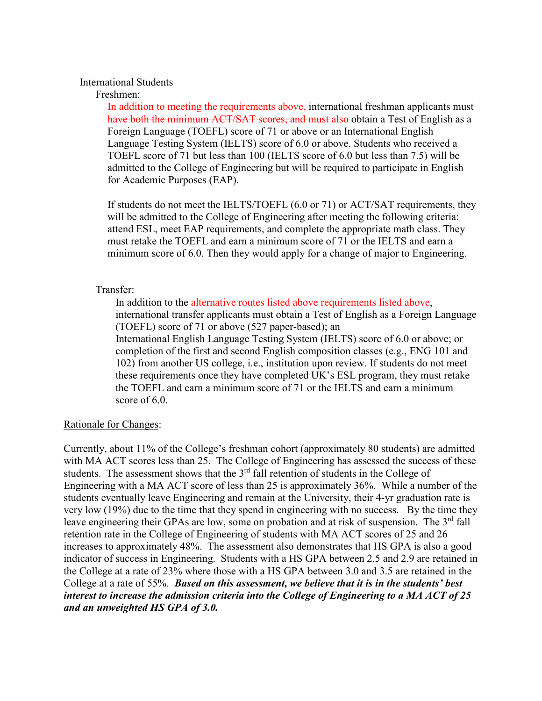### International Students

### Freshmen:

In addition to meeting the requirements above, international freshman applicants must have both the minimum ACT/SAT scores, and must also obtain a Test of English as a Foreign Language (TOEFL) score of 71 or above or an International English Language Testing System (IELTS) score of 6.0 or above. Students who received a TOEFL score of 71 but less than 100 (IELTS score of 6.0 but less than 7.5) will be admitted to the College of Engineering but will be required to participate in English for Academic Purposes (EAP).

If students do not meet the IELTS/TOEFL (6.0 or 71) or ACT/SAT requirements, they will be admitted to the College of Engineering after meeting the following criteria: attend ESL, meet EAP requirements, and complete the appropriate math class. They must retake the TOEFL and earn a minimum score of 71 or the IELTS and earn a minimum score of 6.0. Then they would apply for a change of major to Engineering.

## Transfer:

In addition to the alternative routes listed above requirements listed above, international transfer applicants must obtain a Test of English as a Foreign Language (TOEFL) score of 71 or above (527 paper-based); an International English Language Testing System (IELTS) score of 6.0 or above; or completion of the first and second English composition classes (e.g., ENG 101 and 102) from another US college, i.e., institution upon review. If students do not meet these requirements once they have completed UK's ESL program, they must retake the TOEFL and earn a minimum score of 71 or the IELTS and earn a minimum score of 6.0.

#### Rationale for Changes:

Currently, about 11% of the College's freshman cohort (approximately 80 students) are admitted with MA ACT scores less than 25. The College of Engineering has assessed the success of these students. The assessment shows that the  $3<sup>rd</sup>$  fall retention of students in the College of Engineering with a MA ACT score of less than 25 is approximately 36%. While a number of the students eventually leave Engineering and remain at the University, their 4-yr graduation rate is very low (19%) due to the time that they spend in engineering with no success. By the time they leave engineering their GPAs are low, some on probation and at risk of suspension. The 3<sup>rd</sup> fall retention rate in the College of Engineering of students with MA ACT scores of 25 and 26 increases to approximately 48%. The assessment also demonstrates that HS GPA is also a good indicator of success in Engineering. Students with a HS GPA between 2.5 and 2.9 are retained in the College at a rate of 23% where those with a HS GPA between 3.0 and 3.5 are retained in the College at a rate of 55%. *Based on this assessment, we believe that it is in the students' best interest to increase the admission criteria into the College of Engineering to a MA ACT of 25 and an unweighted HS GPA of 3.0.*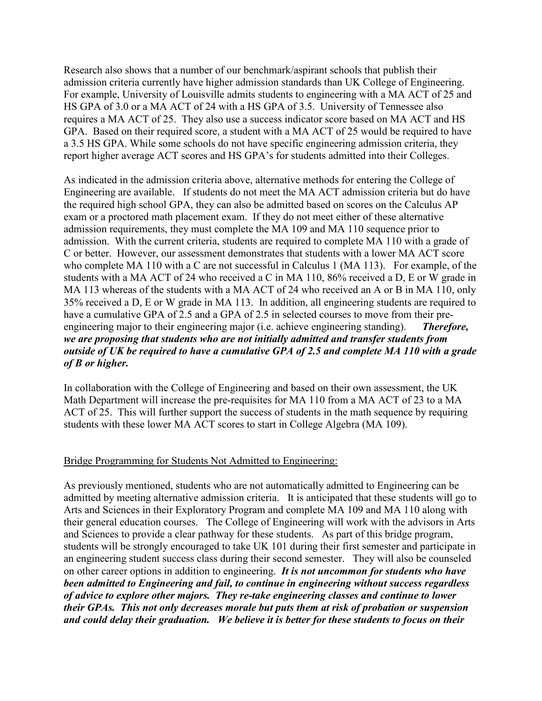Research also shows that a number of our benchmark/aspirant schools that publish their admission criteria currently have higher admission standards than UK College of Engineering. For example, University of Louisville admits students to engineering with a MA ACT of 25 and HS GPA of 3.0 or a MA ACT of 24 with a HS GPA of 3.5. University of Tennessee also requires a MA ACT of 25. They also use a success indicator score based on MA ACT and HS GPA. Based on their required score, a student with a MA ACT of 25 would be required to have a 3.5 HS GPA. While some schools do not have specific engineering admission criteria, they report higher average ACT scores and HS GPA's for students admitted into their Colleges.

As indicated in the admission criteria above, alternative methods for entering the College of Engineering are available. If students do not meet the MA ACT admission criteria but do have the required high school GPA, they can also be admitted based on scores on the Calculus AP exam or a proctored math placement exam. If they do not meet either of these alternative admission requirements, they must complete the MA 109 and MA 110 sequence prior to admission. With the current criteria, students are required to complete MA 110 with a grade of C or better. However, our assessment demonstrates that students with a lower MA ACT score who complete MA 110 with a C are not successful in Calculus 1 (MA 113). For example, of the students with a MA ACT of 24 who received a C in MA 110, 86% received a D, E or W grade in MA 113 whereas of the students with a MA ACT of 24 who received an A or B in MA 110, only 35% received a D, E or W grade in MA 113. In addition, all engineering students are required to have a cumulative GPA of 2.5 and a GPA of 2.5 in selected courses to move from their preengineering major to their engineering major (i.e. achieve engineering standing). *Therefore, we are proposing that students who are not initially admitted and transfer students from outside of UK be required to have a cumulative GPA of 2.5 and complete MA 110 with a grade of B or higher.* 

In collaboration with the College of Engineering and based on their own assessment, the UK Math Department will increase the pre-requisites for MA 110 from a MA ACT of 23 to a MA ACT of 25. This will further support the success of students in the math sequence by requiring students with these lower MA ACT scores to start in College Algebra (MA 109).

# Bridge Programming for Students Not Admitted to Engineering:

As previously mentioned, students who are not automatically admitted to Engineering can be admitted by meeting alternative admission criteria. It is anticipated that these students will go to Arts and Sciences in their Exploratory Program and complete MA 109 and MA 110 along with their general education courses. The College of Engineering will work with the advisors in Arts and Sciences to provide a clear pathway for these students. As part of this bridge program, students will be strongly encouraged to take UK 101 during their first semester and participate in an engineering student success class during their second semester. They will also be counseled on other career options in addition to engineering. *It is not uncommon for students who have been admitted to Engineering and fail, to continue in engineering without success regardless of advice to explore other majors. They re-take engineering classes and continue to lower their GPAs. This not only decreases morale but puts them at risk of probation or suspension and could delay their graduation. We believe it is better for these students to focus on their*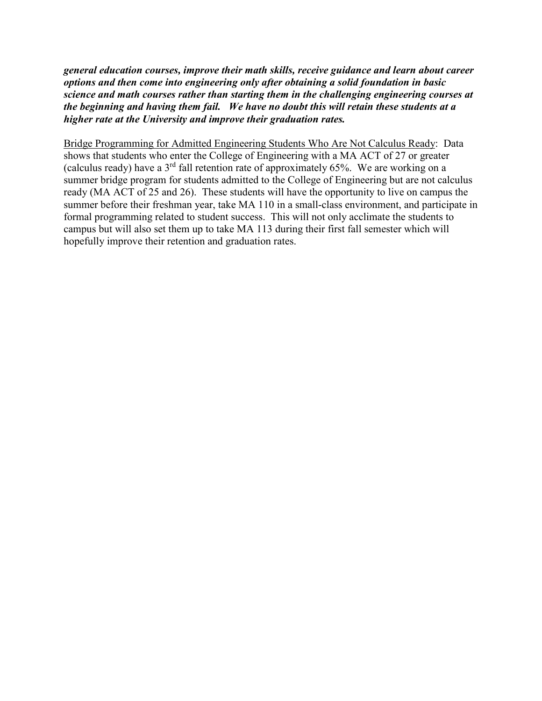*general education courses, improve their math skills, receive guidance and learn about career options and then come into engineering only after obtaining a solid foundation in basic science and math courses rather than starting them in the challenging engineering courses at the beginning and having them fail. We have no doubt this will retain these students at a higher rate at the University and improve their graduation rates.* 

Bridge Programming for Admitted Engineering Students Who Are Not Calculus Ready: Data shows that students who enter the College of Engineering with a MA ACT of 27 or greater (calculus ready) have a  $3<sup>rd</sup>$  fall retention rate of approximately 65%. We are working on a summer bridge program for students admitted to the College of Engineering but are not calculus ready (MA ACT of 25 and 26). These students will have the opportunity to live on campus the summer before their freshman year, take MA 110 in a small-class environment, and participate in formal programming related to student success. This will not only acclimate the students to campus but will also set them up to take MA 113 during their first fall semester which will hopefully improve their retention and graduation rates.